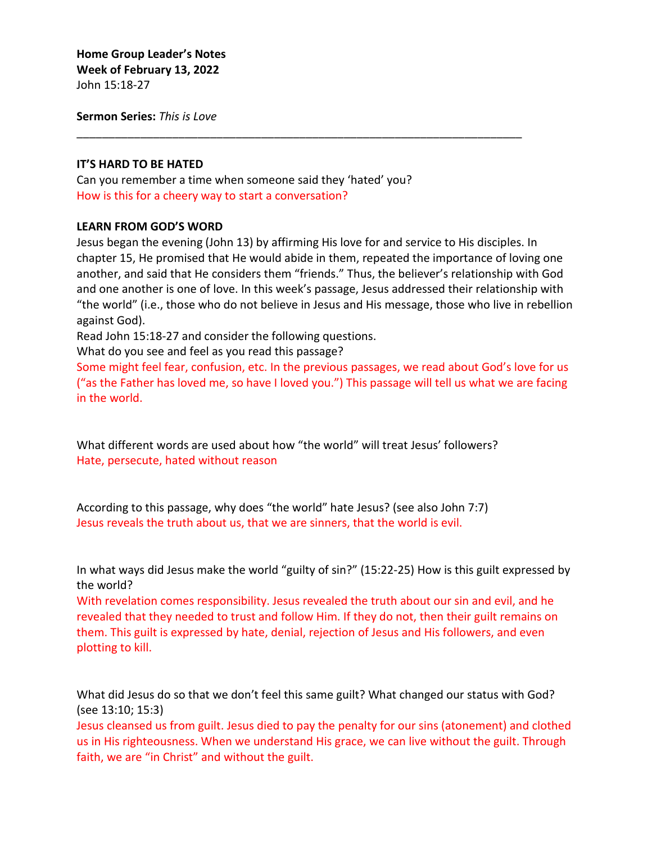**Home Group Leader's Notes Week of February 13, 2022** John 15:18-27

**Sermon Series:** *This is Love*

### **IT'S HARD TO BE HATED**

Can you remember a time when someone said they 'hated' you? How is this for a cheery way to start a conversation?

### **LEARN FROM GOD'S WORD**

Jesus began the evening (John 13) by affirming His love for and service to His disciples. In chapter 15, He promised that He would abide in them, repeated the importance of loving one another, and said that He considers them "friends." Thus, the believer's relationship with God and one another is one of love. In this week's passage, Jesus addressed their relationship with "the world" (i.e., those who do not believe in Jesus and His message, those who live in rebellion against God).

\_\_\_\_\_\_\_\_\_\_\_\_\_\_\_\_\_\_\_\_\_\_\_\_\_\_\_\_\_\_\_\_\_\_\_\_\_\_\_\_\_\_\_\_\_\_\_\_\_\_\_\_\_\_\_\_\_\_\_\_\_\_\_\_\_\_\_\_\_\_

Read John 15:18-27 and consider the following questions.

What do you see and feel as you read this passage?

Some might feel fear, confusion, etc. In the previous passages, we read about God's love for us ("as the Father has loved me, so have I loved you.") This passage will tell us what we are facing in the world.

What different words are used about how "the world" will treat Jesus' followers? Hate, persecute, hated without reason

According to this passage, why does "the world" hate Jesus? (see also John 7:7) Jesus reveals the truth about us, that we are sinners, that the world is evil.

In what ways did Jesus make the world "guilty of sin?" (15:22-25) How is this guilt expressed by the world?

With revelation comes responsibility. Jesus revealed the truth about our sin and evil, and he revealed that they needed to trust and follow Him. If they do not, then their guilt remains on them. This guilt is expressed by hate, denial, rejection of Jesus and His followers, and even plotting to kill.

What did Jesus do so that we don't feel this same guilt? What changed our status with God? (see 13:10; 15:3)

Jesus cleansed us from guilt. Jesus died to pay the penalty for our sins (atonement) and clothed us in His righteousness. When we understand His grace, we can live without the guilt. Through faith, we are "in Christ" and without the guilt.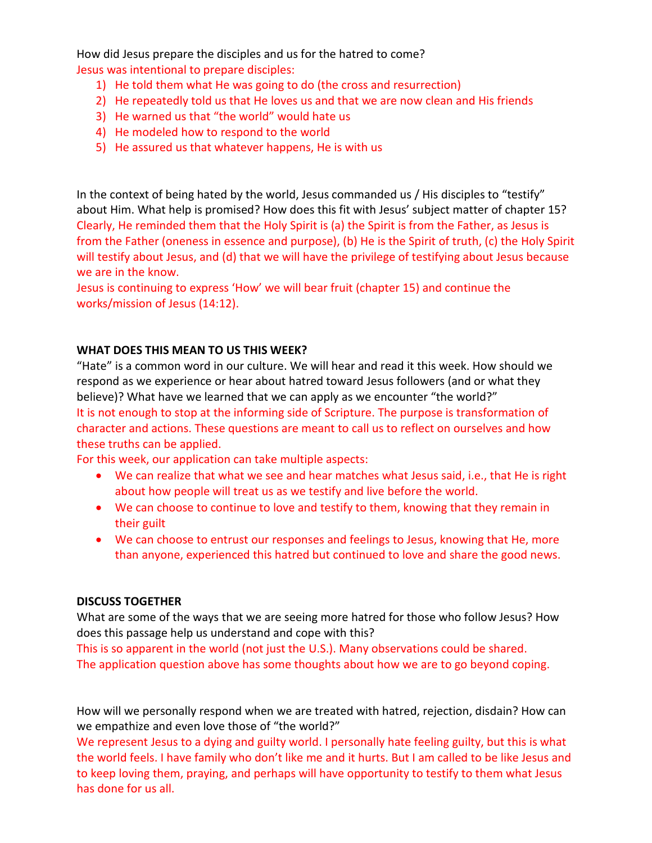How did Jesus prepare the disciples and us for the hatred to come? Jesus was intentional to prepare disciples:

- 1) He told them what He was going to do (the cross and resurrection)
- 2) He repeatedly told us that He loves us and that we are now clean and His friends
- 3) He warned us that "the world" would hate us
- 4) He modeled how to respond to the world
- 5) He assured us that whatever happens, He is with us

In the context of being hated by the world, Jesus commanded us / His disciples to "testify" about Him. What help is promised? How does this fit with Jesus' subject matter of chapter 15? Clearly, He reminded them that the Holy Spirit is (a) the Spirit is from the Father, as Jesus is from the Father (oneness in essence and purpose), (b) He is the Spirit of truth, (c) the Holy Spirit will testify about Jesus, and (d) that we will have the privilege of testifying about Jesus because we are in the know.

Jesus is continuing to express 'How' we will bear fruit (chapter 15) and continue the works/mission of Jesus (14:12).

## **WHAT DOES THIS MEAN TO US THIS WEEK?**

"Hate" is a common word in our culture. We will hear and read it this week. How should we respond as we experience or hear about hatred toward Jesus followers (and or what they believe)? What have we learned that we can apply as we encounter "the world?" It is not enough to stop at the informing side of Scripture. The purpose is transformation of character and actions. These questions are meant to call us to reflect on ourselves and how these truths can be applied.

For this week, our application can take multiple aspects:

- We can realize that what we see and hear matches what Jesus said, i.e., that He is right about how people will treat us as we testify and live before the world.
- We can choose to continue to love and testify to them, knowing that they remain in their guilt
- We can choose to entrust our responses and feelings to Jesus, knowing that He, more than anyone, experienced this hatred but continued to love and share the good news.

## **DISCUSS TOGETHER**

What are some of the ways that we are seeing more hatred for those who follow Jesus? How does this passage help us understand and cope with this?

This is so apparent in the world (not just the U.S.). Many observations could be shared. The application question above has some thoughts about how we are to go beyond coping.

How will we personally respond when we are treated with hatred, rejection, disdain? How can we empathize and even love those of "the world?"

We represent Jesus to a dying and guilty world. I personally hate feeling guilty, but this is what the world feels. I have family who don't like me and it hurts. But I am called to be like Jesus and to keep loving them, praying, and perhaps will have opportunity to testify to them what Jesus has done for us all.